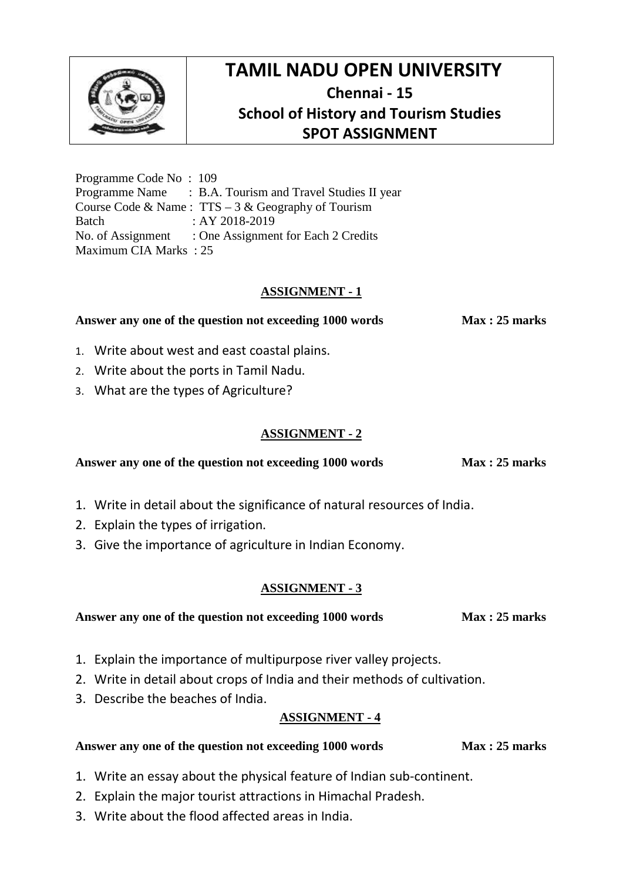

# **TAMIL NADU OPEN UNIVERSITY Chennai - 15 School of History and Tourism Studies SPOT ASSIGNMENT**

Programme Code No : 109 Programme Name : B.A. Tourism and Travel Studies II year Course Code & Name : TTS – 3 & Geography of Tourism Batch : AY 2018-2019 No. of Assignment : One Assignment for Each 2 Credits Maximum CIA Marks : 25

### **ASSIGNMENT - 1**

**Answer any one of the question not exceeding 1000 words Max : 25 marks**

- 1. Write about west and east coastal plains.
- 2. Write about the ports in Tamil Nadu.
- 3. What are the types of Agriculture?

### **ASSIGNMENT - 2**

Answer any one of the question not exceeding 1000 words Max : 25 marks

- 1. Write in detail about the significance of natural resources of India.
- 2. Explain the types of irrigation.
- 3. Give the importance of agriculture in Indian Economy.

### **ASSIGNMENT - 3**

| Answer any one of the question not exceeding 1000 words | Max: 25 marks |
|---------------------------------------------------------|---------------|
|---------------------------------------------------------|---------------|

- 1. Explain the importance of multipurpose river valley projects.
- 2. Write in detail about crops of India and their methods of cultivation.
- 3. Describe the beaches of India.

### **ASSIGNMENT - 4**

#### **Answer any one of the question not exceeding 1000 words Max : 25 marks**

- 1. Write an essay about the physical feature of Indian sub-continent.
- 2. Explain the major tourist attractions in Himachal Pradesh.
- 3. Write about the flood affected areas in India.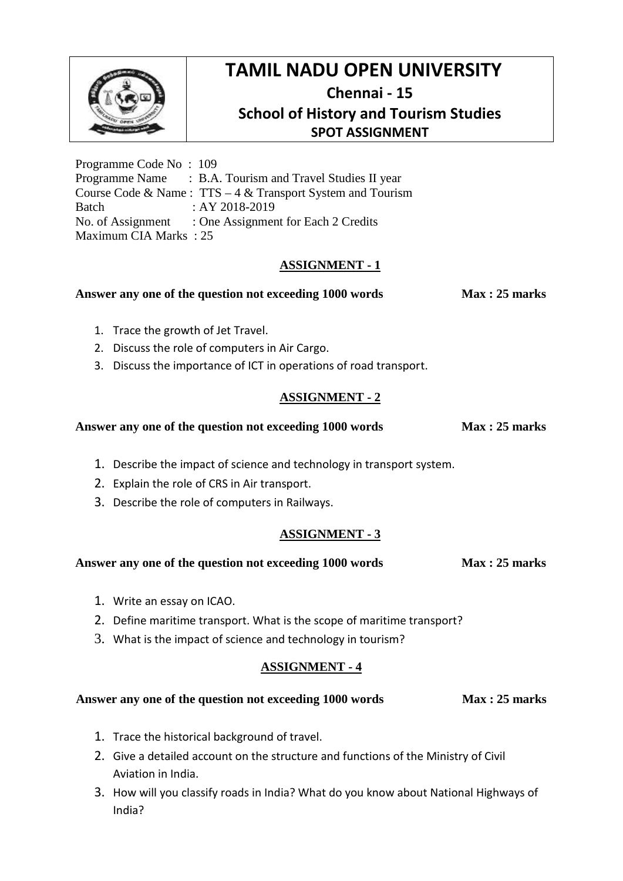

# **TAMIL NADU OPEN UNIVERSITY Chennai - 15 School of History and Tourism Studies SPOT ASSIGNMENT**

Programme Code No : 109 Programme Name : B.A. Tourism and Travel Studies II year Course Code & Name : TTS – 4 & Transport System and Tourism Batch : AY 2018-2019 No. of Assignment : One Assignment for Each 2 Credits Maximum CIA Marks : 25

## **ASSIGNMENT - 1**

## Answer any one of the question not exceeding 1000 words Max : 25 marks

- 1. Trace the growth of Jet Travel.
- 2. Discuss the role of computers in Air Cargo.
- 3. Discuss the importance of ICT in operations of road transport.

## **ASSIGNMENT - 2**

### Answer any one of the question not exceeding 1000 words Max : 25 marks

- 1. Describe the impact of science and technology in transport system.
- 2. Explain the role of CRS in Air transport.
- 3. Describe the role of computers in Railways.

## **ASSIGNMENT - 3**

#### Answer any one of the question not exceeding 1000 words Max : 25 marks

- 1. Write an essay on ICAO.
- 2. Define maritime transport. What is the scope of maritime transport?
- 3. What is the impact of science and technology in tourism?

## **ASSIGNMENT - 4**

### Answer any one of the question not exceeding 1000 words Max : 25 marks

- 1. Trace the historical background of travel.
- 2. Give a detailed account on the structure and functions of the Ministry of Civil Aviation in India.
- 3. How will you classify roads in India? What do you know about National Highways of India?